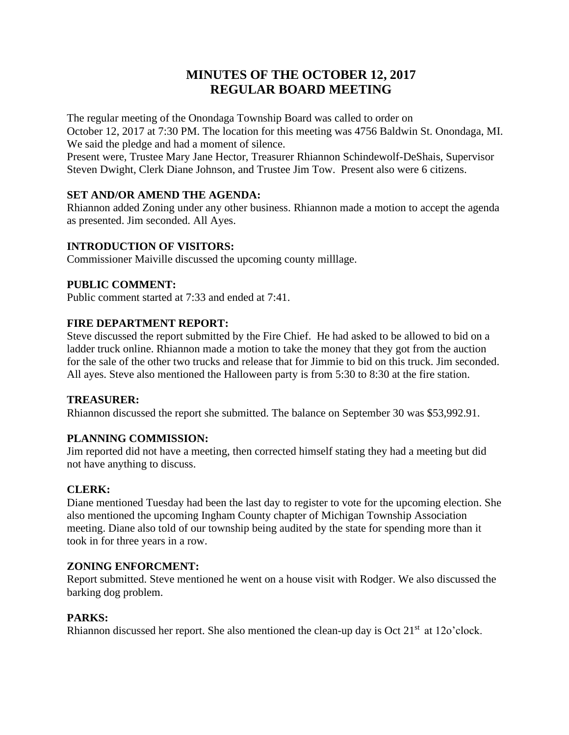# **MINUTES OF THE OCTOBER 12, 2017 REGULAR BOARD MEETING**

The regular meeting of the Onondaga Township Board was called to order on October 12, 2017 at 7:30 PM. The location for this meeting was 4756 Baldwin St. Onondaga, MI. We said the pledge and had a moment of silence.

Present were, Trustee Mary Jane Hector, Treasurer Rhiannon Schindewolf-DeShais, Supervisor Steven Dwight, Clerk Diane Johnson, and Trustee Jim Tow. Present also were 6 citizens.

## **SET AND/OR AMEND THE AGENDA:**

Rhiannon added Zoning under any other business. Rhiannon made a motion to accept the agenda as presented. Jim seconded. All Ayes.

## **INTRODUCTION OF VISITORS:**

Commissioner Maiville discussed the upcoming county milllage.

# **PUBLIC COMMENT:**

Public comment started at 7:33 and ended at 7:41.

## **FIRE DEPARTMENT REPORT:**

Steve discussed the report submitted by the Fire Chief. He had asked to be allowed to bid on a ladder truck online. Rhiannon made a motion to take the money that they got from the auction for the sale of the other two trucks and release that for Jimmie to bid on this truck. Jim seconded. All ayes. Steve also mentioned the Halloween party is from 5:30 to 8:30 at the fire station.

## **TREASURER:**

Rhiannon discussed the report she submitted. The balance on September 30 was \$53,992.91.

## **PLANNING COMMISSION:**

Jim reported did not have a meeting, then corrected himself stating they had a meeting but did not have anything to discuss.

# **CLERK:**

Diane mentioned Tuesday had been the last day to register to vote for the upcoming election. She also mentioned the upcoming Ingham County chapter of Michigan Township Association meeting. Diane also told of our township being audited by the state for spending more than it took in for three years in a row.

## **ZONING ENFORCMENT:**

Report submitted. Steve mentioned he went on a house visit with Rodger. We also discussed the barking dog problem.

## **PARKS:**

Rhiannon discussed her report. She also mentioned the clean-up day is Oct 21<sup>st</sup> at 12o'clock.